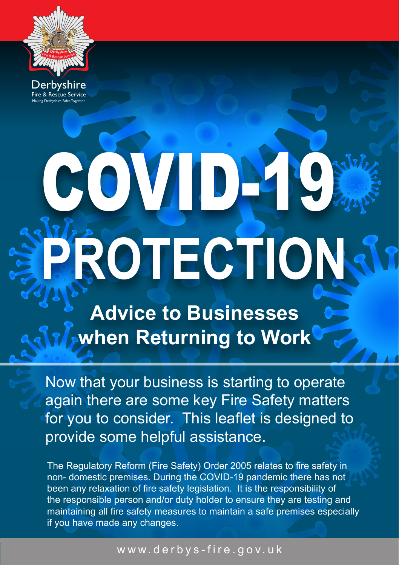

Fire & Rescue Service Derbyshire Making Derbyshire Safer Together

# OVID-19 **PROTECTION**

**Advice to Businesses when Returning to Work**

Now that your business is starting to operate again there are some key Fire Safety matters for you to consider. This leaflet is designed to provide some helpful assistance.

The Regulatory Reform (Fire Safety) Order 2005 relates to fire safety in non- domestic premises. During the COVID-19 pandemic there has not been any relaxation of fire safety legislation. It is the responsibility of the responsible person and/or duty holder to ensure they are testing and maintaining all fire safety measures to maintain a safe premises especially if you have made any changes.

### www.derbys-fire.gov.uk